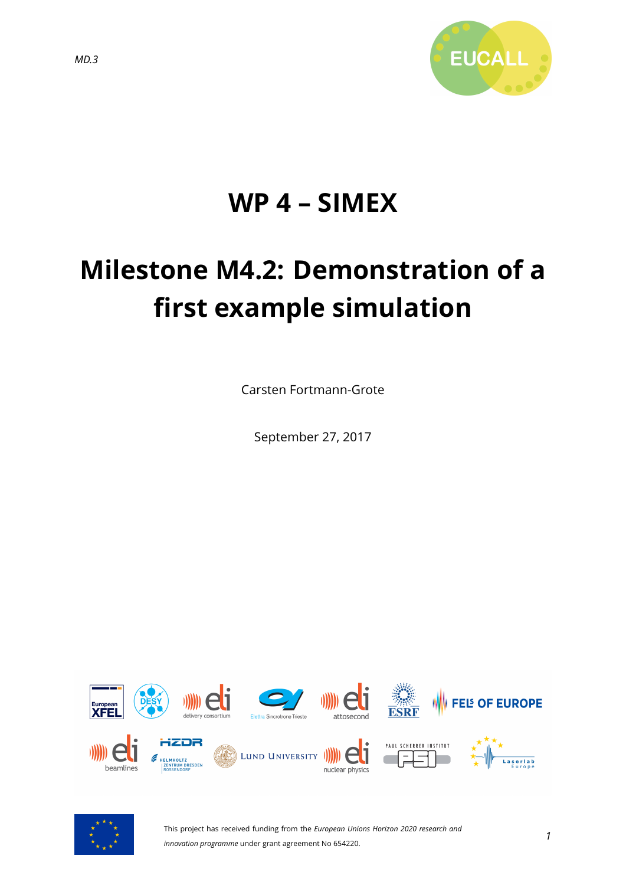

# **WP 4 – SIMEX**

# **Milestone M4.2: Demonstration of a first example simulation**

Carsten Fortmann-Grote

September 27, 2017





This project has received funding from the *European Unions Horizon 2020 research and innovation programme* under grant agreement No 654220.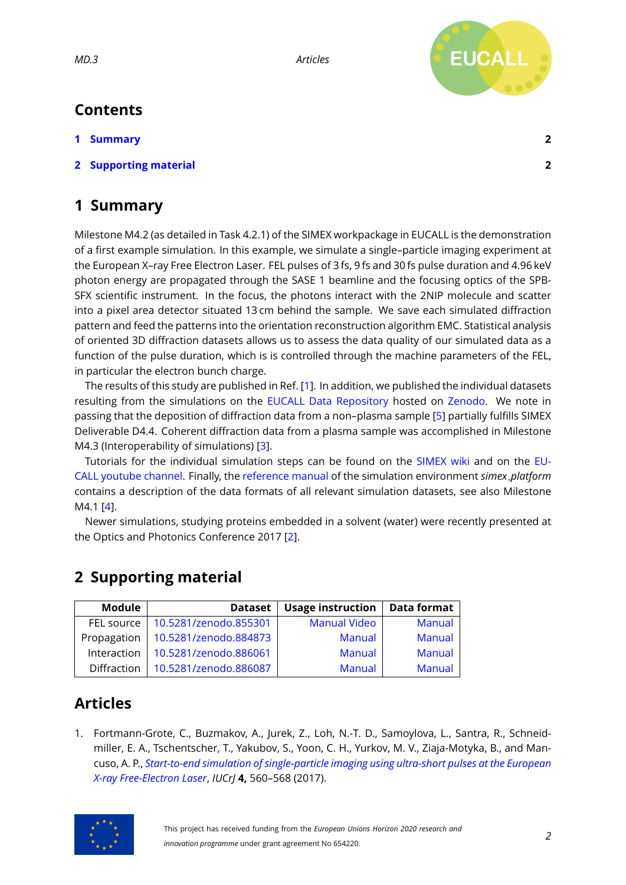*MD.3 Articles*



## **Contents**

- **[1 Summary](#page-1-0) 2**
- **[2 Supporting material](#page-1-1) 2**

# <span id="page-1-0"></span>**1 Summary**

Milestone M4.2 (as detailed in Task 4.2.1) of the SIMEX workpackage in EUCALL is the demonstration of a first example simulation. In this example, we simulate a single–particle imaging experiment at the European X–ray Free Electron Laser. FEL pulses of 3 fs, 9 fs and 30 fs pulse duration and 4.96 keV photon energy are propagated through the SASE 1 beamline and the focusing optics of the SPB-SFX scientific instrument. In the focus, the photons interact with the 2NIP molecule and scatter into a pixel area detector situated 13 cm behind the sample. We save each simulated diffraction pattern and feed the patterns into the orientation reconstruction algorithm EMC. Statistical analysis of oriented 3D diffraction datasets allows us to assess the data quality of our simulated data as a function of the pulse duration, which is is controlled through the machine parameters of the FEL, in particular the electron bunch charge.

The results of this study are published in Ref. [\[1\]](#page-1-2). In addition, we published the individual datasets resulting from the simulations on the [EUCALL Data Repository](https://zenodo.org/communities/eucall-data) hosted on [Zenodo.](https://www.zenodo.org/) We note in passing that the deposition of diffraction data from a non–plasma sample [\[5\]](#page-2-0) partially fulfills SIMEX Deliverable D4.4. Coherent diffraction data from a plasma sample was accomplished in Milestone M4.3 (Interoperability of simulations) [\[3\]](#page-2-1).

Tutorials for the individual simulation steps can be found on the [SIMEX wiki](https://www.github.com/eucall-software/simex_platform/wiki/SimEx-Tutorial) and on the [EU-](https://www.youtube.com/channel/UC5H8cATZiUPNfF7P_xEhBpQ/videos)[CALL youtube channel.](https://www.youtube.com/channel/UC5H8cATZiUPNfF7P_xEhBpQ/videos) Finally, the [reference manual](https://eucall-software.github.io/simex_platform/) of the simulation environment *simex platform* contains a description of the data formats of all relevant simulation datasets, see also Milestone M4.1 [\[4\]](#page-2-2).

Newer simulations, studying proteins embedded in a solvent (water) were recently presented at the Optics and Photonics Conference 2017 [\[2\]](#page-2-3).

#### <span id="page-1-1"></span>**2 Supporting material**

| Module      | <b>Dataset</b>        | <b>Usage instruction</b> | <b>Data format</b> |
|-------------|-----------------------|--------------------------|--------------------|
| FEL source  | 10.5281/zenodo.855301 | <b>Manual Video</b>      | <b>Manual</b>      |
| Propagation | 10.5281/zenodo.884873 | <b>Manual</b>            | Manual             |
| Interaction | 10.5281/zenodo.886061 | <b>Manual</b>            | Manual             |
| Diffraction | 10.5281/zenodo.886087 | <b>Manual</b>            | <b>Manual</b>      |

## **Articles**

<span id="page-1-2"></span>1. Fortmann-Grote, C., Buzmakov, A., Jurek, Z., Loh, N.-T. D., Samoylova, L., Santra, R., Schneidmiller, E. A., Tschentscher, T., Yakubov, S., Yoon, C. H., Yurkov, M. V., Ziaja-Motyka, B., and Mancuso, A. P., *[Start-to-end simulation of single-particle imaging using ultra-short pulses at the European](http://dx.doi.org/10.1107/S2052252517009496) [X-ray Free-Electron Laser](http://dx.doi.org/10.1107/S2052252517009496)*, *IUCrJ* **4,** 560–568 (2017).